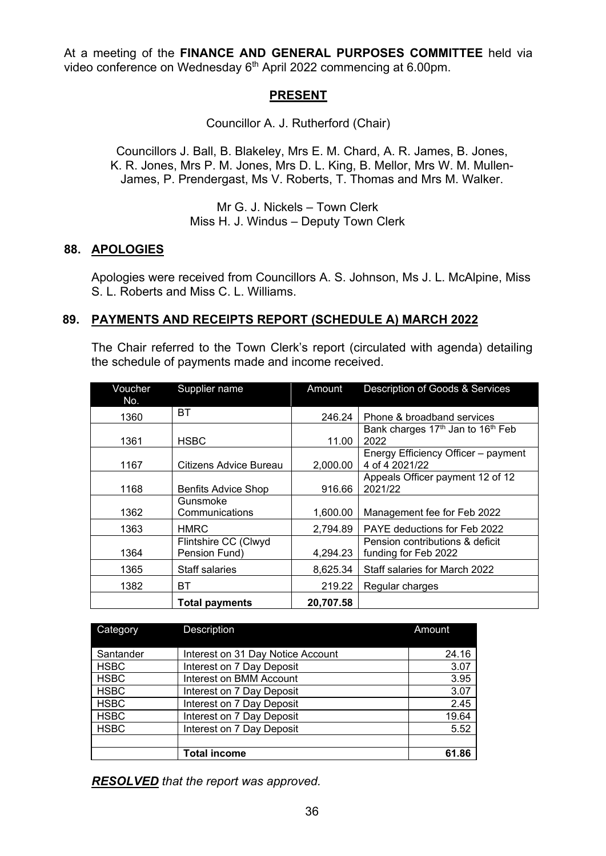At a meeting of the **FINANCE AND GENERAL PURPOSES COMMITTEE** held via video conference on Wednesday 6<sup>th</sup> April 2022 commencing at 6.00pm.

### **PRESENT**

Councillor A. J. Rutherford (Chair)

Councillors J. Ball, B. Blakeley, Mrs E. M. Chard, A. R. James, B. Jones, K. R. Jones, Mrs P. M. Jones, Mrs D. L. King, B. Mellor, Mrs W. M. Mullen-James, P. Prendergast, Ms V. Roberts, T. Thomas and Mrs M. Walker.

> Mr G. J. Nickels – Town Clerk Miss H. J. Windus – Deputy Town Clerk

### **88. APOLOGIES**

Apologies were received from Councillors A. S. Johnson, Ms J. L. McAlpine, Miss S. L. Roberts and Miss C. L. Williams.

### **89. PAYMENTS AND RECEIPTS REPORT (SCHEDULE A) MARCH 2022**

The Chair referred to the Town Clerk's report (circulated with agenda) detailing the schedule of payments made and income received.

| Voucher | Supplier name              | Amount    | Description of Goods & Services                           |  |
|---------|----------------------------|-----------|-----------------------------------------------------------|--|
| No.     |                            |           |                                                           |  |
| 1360    | <b>BT</b>                  | 246.24    | Phone & broadband services                                |  |
|         |                            |           | Bank charges 17 <sup>th</sup> Jan to 16 <sup>th</sup> Feb |  |
| 1361    | <b>HSBC</b>                | 11.00     | 2022                                                      |  |
|         |                            |           | Energy Efficiency Officer - payment                       |  |
| 1167    | Citizens Advice Bureau     | 2,000.00  | 4 of 4 2021/22                                            |  |
|         |                            |           | Appeals Officer payment 12 of 12                          |  |
| 1168    | <b>Benfits Advice Shop</b> | 916.66    | 2021/22                                                   |  |
|         | Gunsmoke                   |           |                                                           |  |
| 1362    | Communications             | 1,600.00  | Management fee for Feb 2022                               |  |
| 1363    | <b>HMRC</b>                | 2,794.89  | PAYE deductions for Feb 2022                              |  |
|         | Flintshire CC (Clwyd       |           | Pension contributions & deficit                           |  |
| 1364    | Pension Fund)              | 4,294.23  | funding for Feb 2022                                      |  |
| 1365    | Staff salaries             | 8,625.34  | Staff salaries for March 2022                             |  |
|         |                            |           |                                                           |  |
| 1382    | BТ                         | 219.22    | Regular charges                                           |  |
|         | <b>Total payments</b>      | 20,707.58 |                                                           |  |

| Category    | Description                       | Amount |  |
|-------------|-----------------------------------|--------|--|
| Santander   | Interest on 31 Day Notice Account | 24.16  |  |
| <b>HSBC</b> | Interest on 7 Day Deposit         | 3.07   |  |
| <b>HSBC</b> | Interest on BMM Account           | 3.95   |  |
| <b>HSBC</b> | Interest on 7 Day Deposit         | 3.07   |  |
| <b>HSBC</b> | Interest on 7 Day Deposit         | 2.45   |  |
| <b>HSBC</b> | Interest on 7 Day Deposit         | 19.64  |  |
| <b>HSBC</b> | Interest on 7 Day Deposit         | 5.52   |  |
|             |                                   |        |  |
|             | <b>Total income</b>               | 61.86  |  |

*RESOLVED that the report was approved.*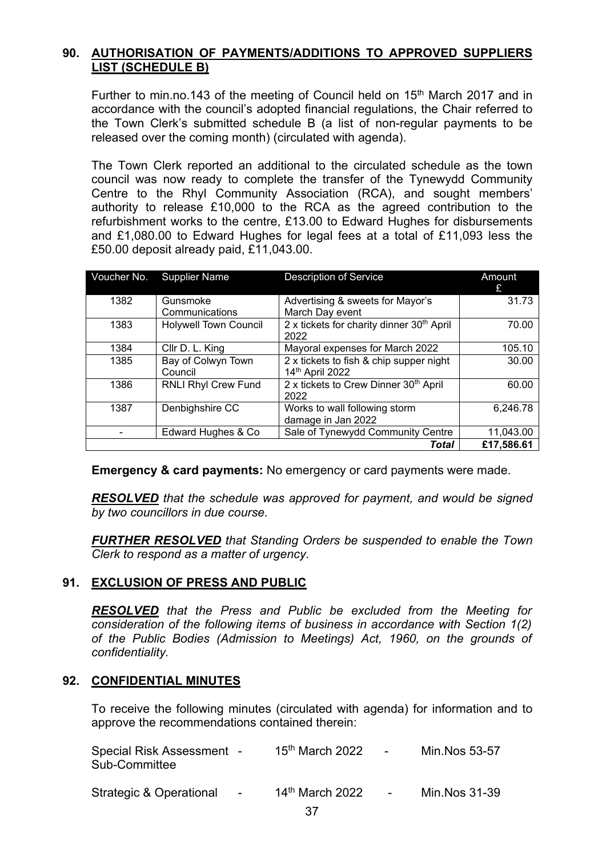# **90. AUTHORISATION OF PAYMENTS/ADDITIONS TO APPROVED SUPPLIERS LIST (SCHEDULE B)**

Further to min.no.143 of the meeting of Council held on 15<sup>th</sup> March 2017 and in accordance with the council's adopted financial regulations, the Chair referred to the Town Clerk's submitted schedule B (a list of non-regular payments to be released over the coming month) (circulated with agenda).

The Town Clerk reported an additional to the circulated schedule as the town council was now ready to complete the transfer of the Tynewydd Community Centre to the Rhyl Community Association (RCA), and sought members' authority to release £10,000 to the RCA as the agreed contribution to the refurbishment works to the centre, £13.00 to Edward Hughes for disbursements and £1,080.00 to Edward Hughes for legal fees at a total of £11,093 less the £50.00 deposit already paid, £11,043.00.

| Voucher No. | <b>Supplier Name</b>         | <b>Description of Service</b>                         | Amount<br>£ |
|-------------|------------------------------|-------------------------------------------------------|-------------|
| 1382        | Gunsmoke                     | Advertising & sweets for Mayor's                      | 31.73       |
|             | Communications               | March Day event                                       |             |
| 1383        | <b>Holywell Town Council</b> | 2 x tickets for charity dinner 30 <sup>th</sup> April | 70.00       |
|             |                              | 2022                                                  |             |
| 1384        | Cllr D. L. King              | Mayoral expenses for March 2022                       | 105.10      |
| 1385        | Bay of Colwyn Town           | 2 x tickets to fish & chip supper night               | 30.00       |
|             | Council                      | 14th April 2022                                       |             |
| 1386        | <b>RNLI Rhyl Crew Fund</b>   | 2 x tickets to Crew Dinner 30th April                 | 60.00       |
|             |                              | 2022                                                  |             |
| 1387        | Denbighshire CC              | Works to wall following storm                         | 6,246.78    |
|             |                              | damage in Jan 2022                                    |             |
|             | Edward Hughes & Co           | Sale of Tynewydd Community Centre                     | 11,043.00   |
|             |                              | Total                                                 | £17,586.61  |

**Emergency & card payments:** No emergency or card payments were made.

*RESOLVED that the schedule was approved for payment, and would be signed by two councillors in due course.*

*FURTHER RESOLVED that Standing Orders be suspended to enable the Town Clerk to respond as a matter of urgency.* 

# **91. EXCLUSION OF PRESS AND PUBLIC**

*RESOLVED that the Press and Public be excluded from the Meeting for consideration of the following items of business in accordance with Section 1(2) of the Public Bodies (Admission to Meetings) Act, 1960, on the grounds of confidentiality.*

### **92. CONFIDENTIAL MINUTES**

To receive the following minutes (circulated with agenda) for information and to approve the recommendations contained therein:

| Special Risk Assessment -<br>Sub-Committee |        | $15th$ March 2022 | <b>Contract Contract State</b> | Min.Nos 53-57  |
|--------------------------------------------|--------|-------------------|--------------------------------|----------------|
| Strategic & Operational                    | $\sim$ | $14th$ March 2022 | $\sim$                         | Min. Nos 31-39 |